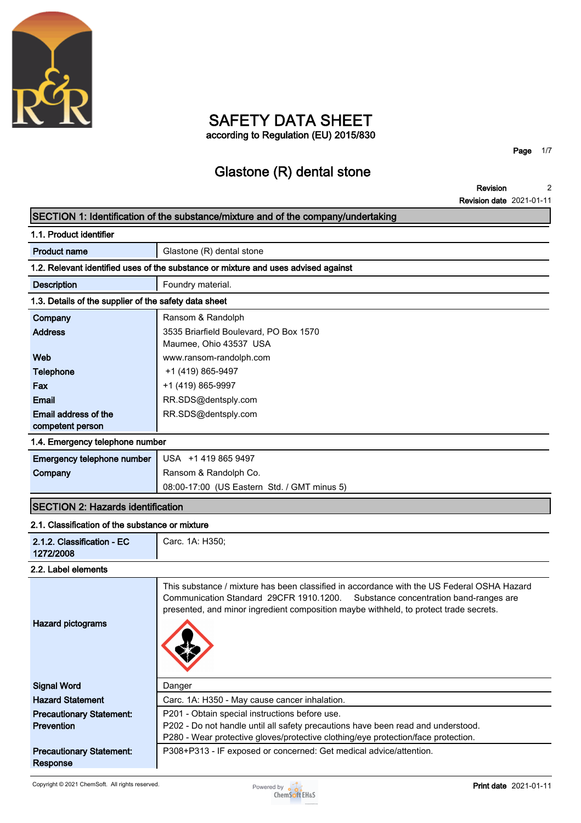

## **SAFETY DATA SHEET according to Regulation (EU) 2015/830**

**Page 1/7**

# **Glastone (R) dental stone**

**Revision Revision date 2021-01-11 2**

# **SECTION 1: Identification of the substance/mixture and of the company/undertaking**

| 1.1. Product identifier                                                            |                                        |  |
|------------------------------------------------------------------------------------|----------------------------------------|--|
| <b>Product name</b>                                                                | Glastone (R) dental stone              |  |
| 1.2. Relevant identified uses of the substance or mixture and uses advised against |                                        |  |
| <b>Description</b>                                                                 | Foundry material.                      |  |
| 1.3. Details of the supplier of the safety data sheet                              |                                        |  |
| Company                                                                            | Ransom & Randolph                      |  |
| <b>Address</b>                                                                     | 3535 Briarfield Boulevard, PO Box 1570 |  |
|                                                                                    | Maumee, Ohio 43537 USA                 |  |
| Web                                                                                | www.ransom-randolph.com                |  |
| <b>Telephone</b>                                                                   | +1 (419) 865-9497                      |  |
| Fax                                                                                | +1 (419) 865-9997                      |  |
| <b>Email</b>                                                                       | RR.SDS@dentsply.com                    |  |
| Email address of the                                                               | RR.SDS@dentsply.com                    |  |
| competent person                                                                   |                                        |  |
| .                                                                                  |                                        |  |

#### **1.4. Emergency telephone number**

| Emergency telephone number   USA +1 419 865 9497 |                                             |
|--------------------------------------------------|---------------------------------------------|
| Company                                          | Ransom & Randolph Co.                       |
|                                                  | 08:00-17:00 (US Eastern Std. / GMT minus 5) |

### **SECTION 2: Hazards identification**

#### **2.1. Classification of the substance or mixture**

| 2.1.2. Classification - EC<br>1272/2008              | Carc. 1A: H350;                                                                                                                                                                                                                                                        |
|------------------------------------------------------|------------------------------------------------------------------------------------------------------------------------------------------------------------------------------------------------------------------------------------------------------------------------|
| 2.2. Label elements                                  |                                                                                                                                                                                                                                                                        |
| <b>Hazard pictograms</b>                             | This substance / mixture has been classified in accordance with the US Federal OSHA Hazard<br>Communication Standard 29CFR 1910.1200. Substance concentration band-ranges are<br>presented, and minor ingredient composition maybe withheld, to protect trade secrets. |
| <b>Signal Word</b>                                   | Danger                                                                                                                                                                                                                                                                 |
| <b>Hazard Statement</b>                              | Carc. 1A: H350 - May cause cancer inhalation.                                                                                                                                                                                                                          |
| <b>Precautionary Statement:</b><br><b>Prevention</b> | P201 - Obtain special instructions before use.<br>P202 - Do not handle until all safety precautions have been read and understood.<br>P280 - Wear protective gloves/protective clothing/eye protection/face protection.                                                |
| <b>Precautionary Statement:</b><br>Response          | P308+P313 - IF exposed or concerned: Get medical advice/attention.                                                                                                                                                                                                     |

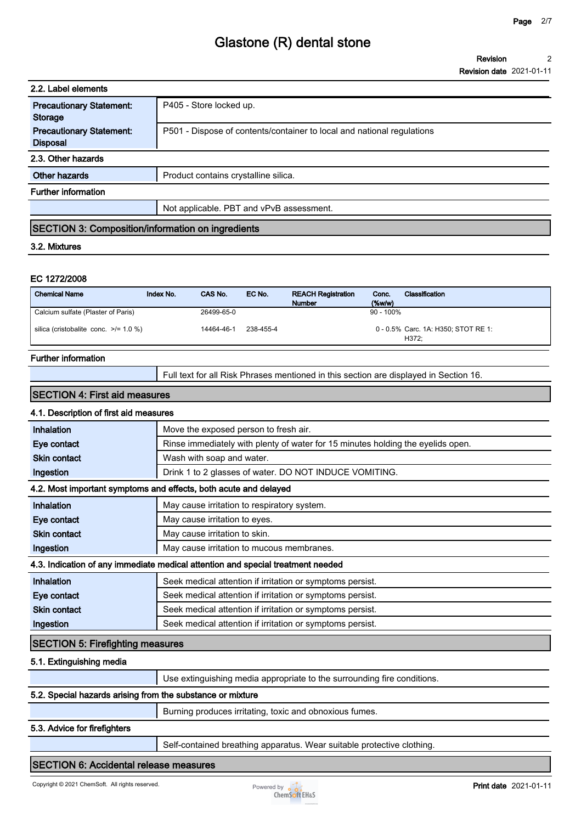| 2.2. Label elements                                      |                                          |        |                                                                        |                 |                |
|----------------------------------------------------------|------------------------------------------|--------|------------------------------------------------------------------------|-----------------|----------------|
| <b>Precautionary Statement:</b><br><b>Storage</b>        | P405 - Store locked up.                  |        |                                                                        |                 |                |
| <b>Precautionary Statement:</b><br><b>Disposal</b>       |                                          |        | P501 - Dispose of contents/container to local and national regulations |                 |                |
| 2.3. Other hazards                                       |                                          |        |                                                                        |                 |                |
| Other hazards                                            | Product contains crystalline silica.     |        |                                                                        |                 |                |
| <b>Further information</b>                               |                                          |        |                                                                        |                 |                |
|                                                          | Not applicable. PBT and vPvB assessment. |        |                                                                        |                 |                |
| <b>SECTION 3: Composition/information on ingredients</b> |                                          |        |                                                                        |                 |                |
| 3.2. Mixtures                                            |                                          |        |                                                                        |                 |                |
|                                                          |                                          |        |                                                                        |                 |                |
| EC 1272/2008                                             |                                          |        |                                                                        |                 |                |
| <b>Chemical Name</b>                                     | CAS No.<br>Index No.                     | EC No. | <b>REACH Registration</b><br><b>Number</b>                             | Conc.<br>(%w/w) | Classification |
| Calcium sulfate (Plaster of Paris)                       | 26499-65-0                               |        |                                                                        | $90 - 100\%$    |                |

**silica (cristobalite conc. >/= 1.0 %) 14464-46-1 238-455-4 Carc. 1A: H350; STOT RE 1: 0 - 0.5%**

#### **Further information**

**Full text for all Risk Phrases mentioned in this section are displayed in Section 16.**

**H372;**

#### **SECTION 4: First aid measures**

### **4.1. Description of first aid measures**

| <b>Inhalation</b>                                                               | Move the exposed person to fresh air.                                           |  |
|---------------------------------------------------------------------------------|---------------------------------------------------------------------------------|--|
| Eye contact                                                                     | Rinse immediately with plenty of water for 15 minutes holding the eyelids open. |  |
| <b>Skin contact</b>                                                             | Wash with soap and water.                                                       |  |
| Ingestion                                                                       | Drink 1 to 2 glasses of water. DO NOT INDUCE VOMITING.                          |  |
|                                                                                 | 4.2. Most important symptoms and effects, both acute and delayed                |  |
| Inhalation                                                                      | May cause irritation to respiratory system.                                     |  |
| Eye contact                                                                     | May cause irritation to eyes.                                                   |  |
| <b>Skin contact</b>                                                             | May cause irritation to skin.                                                   |  |
| Ingestion                                                                       | May cause irritation to mucous membranes.                                       |  |
| 4.3. Indication of any immediate medical attention and special treatment needed |                                                                                 |  |
| Inhalation                                                                      | Seek medical attention if irritation or symptoms persist.                       |  |
| Eye contact                                                                     | Seek medical attention if irritation or symptoms persist.                       |  |
| <b>Skin contact</b>                                                             | Seek medical attention if irritation or symptoms persist.                       |  |
| Ingestion                                                                       | Seek medical attention if irritation or symptoms persist.                       |  |
| <b>SECTION 5: Firefighting measures</b>                                         |                                                                                 |  |

#### **5.1. Extinguishing media**

|                                                            | Use extinguishing media appropriate to the surrounding fire conditions. |  |
|------------------------------------------------------------|-------------------------------------------------------------------------|--|
| 5.2. Special hazards arising from the substance or mixture |                                                                         |  |
|                                                            | Burning produces irritating, toxic and obnoxious fumes.                 |  |

#### **5.3. Advice for firefighters**

**Self-contained breathing apparatus. Wear suitable protective clothing.**

#### **SECTION 6: Accidental release measures**

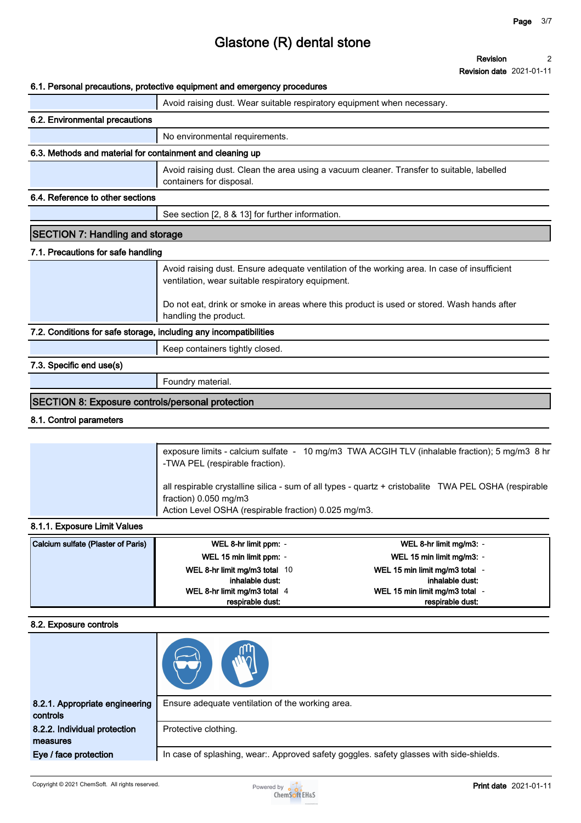#### **Revision 2**

**Revision date 2021-01-11**

#### **6.1. Personal precautions, protective equipment and emergency procedures**

|                                                                   | o. i. Fersorial precaduoris, protective equipment and emergency procedures                                                                        |  |
|-------------------------------------------------------------------|---------------------------------------------------------------------------------------------------------------------------------------------------|--|
|                                                                   | Avoid raising dust. Wear suitable respiratory equipment when necessary.                                                                           |  |
| 6.2. Environmental precautions                                    |                                                                                                                                                   |  |
|                                                                   | No environmental requirements.                                                                                                                    |  |
| 6.3. Methods and material for containment and cleaning up         |                                                                                                                                                   |  |
|                                                                   | Avoid raising dust. Clean the area using a vacuum cleaner. Transfer to suitable, labelled<br>containers for disposal.                             |  |
| 6.4. Reference to other sections                                  |                                                                                                                                                   |  |
|                                                                   | See section [2, 8 & 13] for further information.                                                                                                  |  |
| <b>SECTION 7: Handling and storage</b>                            |                                                                                                                                                   |  |
| 7.1. Precautions for safe handling                                |                                                                                                                                                   |  |
|                                                                   | Avoid raising dust. Ensure adequate ventilation of the working area. In case of insufficient<br>ventilation, wear suitable respiratory equipment. |  |
|                                                                   | Do not eat, drink or smoke in areas where this product is used or stored. Wash hands after<br>handling the product.                               |  |
| 7.2. Conditions for safe storage, including any incompatibilities |                                                                                                                                                   |  |
|                                                                   | Keep containers tightly closed.                                                                                                                   |  |
| 7.3. Specific end use(s)                                          |                                                                                                                                                   |  |
|                                                                   | Foundry material.                                                                                                                                 |  |
| <b>SECTION 8: Exposure controls/personal protection</b>           |                                                                                                                                                   |  |

### **8.1. Control parameters**

|                                                      | exposure limits - calcium sulfate - 10 mg/m3 TWA ACGIH TLV (inhalable fraction); 5 mg/m3 8 hr<br>-TWA PEL (respirable fraction). |
|------------------------------------------------------|----------------------------------------------------------------------------------------------------------------------------------|
| Action Level OSHA (respirable fraction) 0.025 mg/m3. | all respirable crystalline silica - sum of all types - quartz + cristobalite TWA PEL OSHA (respirable<br>fraction) $0.050$ mg/m3 |

#### **8.1.1. Exposure Limit Values**

| Calcium sulfate (Plaster of Paris) | WEL 8-hr limit ppm: -         | WEL 8-hr limit mg/m3: -      |
|------------------------------------|-------------------------------|------------------------------|
|                                    | WEL 15 min limit ppm: -       | WEL 15 min limit mg/m3: -    |
|                                    | WEL 8-hr limit mg/m3 total 10 | WEL 15 min limit mg/m3 total |
|                                    | inhalable dust:               | inhalable dust:              |
|                                    | WEL 8-hr limit mg/m3 total 4  | WEL 15 min limit mg/m3 total |
|                                    | respirable dust:              | respirable dust:             |

#### **8.2. Exposure controls**

| 8.2.1. Appropriate engineering<br>controls | Ensure adequate ventilation of the working area.                                        |
|--------------------------------------------|-----------------------------------------------------------------------------------------|
| 8.2.2. Individual protection<br>measures   | Protective clothing.                                                                    |
| Eye / face protection                      | In case of splashing, wear:. Approved safety goggles. safety glasses with side-shields. |

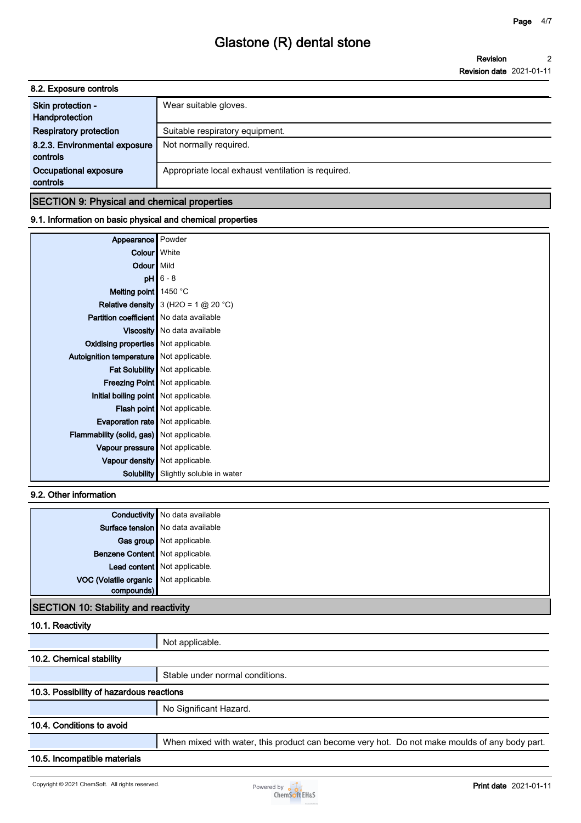**Revision Revision date 2021-01-11 2**

| 8.2. Exposure controls                    |                                                    |  |  |
|-------------------------------------------|----------------------------------------------------|--|--|
| Skin protection -<br>Handprotection       | Wear suitable gloves.                              |  |  |
| <b>Respiratory protection</b>             | Suitable respiratory equipment.                    |  |  |
| 8.2.3. Environmental exposure<br>controls | Not normally required.                             |  |  |
| Occupational exposure<br>controls         | Appropriate local exhaust ventilation is required. |  |  |
|                                           |                                                    |  |  |

### **SECTION 9: Physical and chemical properties**

### **9.1. Information on basic physical and chemical properties**

| Appearance                                       | Powder                                                          |
|--------------------------------------------------|-----------------------------------------------------------------|
| Colour   White                                   |                                                                 |
| Odour   Mild                                     |                                                                 |
|                                                  | $pH$ 6 - 8                                                      |
| Melting point 1450 °C                            |                                                                 |
|                                                  | <b>Relative density</b> 3 (H2O = $1 \text{ @ } 20 \text{ °C}$ ) |
| <b>Partition coefficient</b> No data available   |                                                                 |
|                                                  | Viscosity   No data available                                   |
| Oxidising properties Not applicable.             |                                                                 |
| Autoignition temperature   Not applicable.       |                                                                 |
|                                                  | Fat Solubility   Not applicable.                                |
|                                                  | Freezing Point   Not applicable.                                |
| Initial boiling point Not applicable.            |                                                                 |
|                                                  | Flash point Not applicable.                                     |
| Evaporation rate   Not applicable.               |                                                                 |
| <b>Flammability (solid, gas)</b> Not applicable. |                                                                 |
| Vapour pressure   Not applicable.                |                                                                 |
|                                                  | Vapour density   Not applicable.                                |
| Solubility                                       | Slightly soluble in water                                       |

### **9.2. Other information**

|                                       | <b>Conductivity</b> No data available |
|---------------------------------------|---------------------------------------|
|                                       | Surface tension   No data available   |
|                                       | Gas group Not applicable.             |
| Benzene Content   Not applicable.     |                                       |
|                                       | Lead content Not applicable.          |
| VOC (Volatile organic Not applicable. |                                       |
| compounds)                            |                                       |
|                                       |                                       |

### **SECTION 10: Stability and reactivity**

### **10.1. Reactivity**

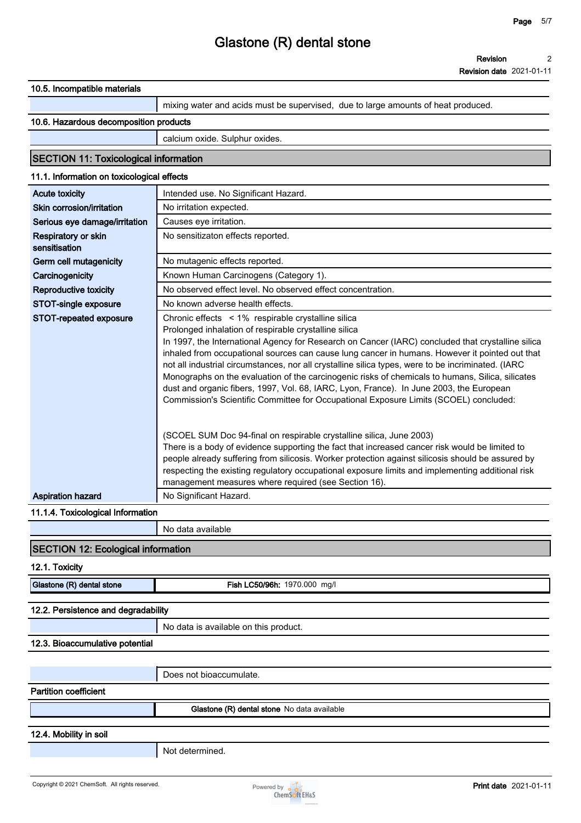**Revision date 2021-01-11**

| 10.5. Incompatible materials                 |                                                                                                                                                                                                     |
|----------------------------------------------|-----------------------------------------------------------------------------------------------------------------------------------------------------------------------------------------------------|
|                                              | mixing water and acids must be supervised, due to large amounts of heat produced.                                                                                                                   |
| 10.6. Hazardous decomposition products       |                                                                                                                                                                                                     |
|                                              | calcium oxide. Sulphur oxides.                                                                                                                                                                      |
|                                              |                                                                                                                                                                                                     |
| <b>SECTION 11: Toxicological information</b> |                                                                                                                                                                                                     |
| 11.1. Information on toxicological effects   |                                                                                                                                                                                                     |
| <b>Acute toxicity</b>                        | Intended use. No Significant Hazard.                                                                                                                                                                |
| Skin corrosion/irritation                    | No irritation expected.                                                                                                                                                                             |
| Serious eye damage/irritation                | Causes eye irritation.                                                                                                                                                                              |
| Respiratory or skin<br>sensitisation         | No sensitizaton effects reported.                                                                                                                                                                   |
| Germ cell mutagenicity                       | No mutagenic effects reported.                                                                                                                                                                      |
| Carcinogenicity                              | Known Human Carcinogens (Category 1).                                                                                                                                                               |
| Reproductive toxicity                        | No observed effect level. No observed effect concentration.                                                                                                                                         |
| STOT-single exposure                         | No known adverse health effects.                                                                                                                                                                    |
| STOT-repeated exposure                       | Chronic effects < 1% respirable crystalline silica                                                                                                                                                  |
|                                              | Prolonged inhalation of respirable crystalline silica                                                                                                                                               |
|                                              | In 1997, the International Agency for Research on Cancer (IARC) concluded that crystalline silica<br>inhaled from occupational sources can cause lung cancer in humans. However it pointed out that |
|                                              | not all industrial circumstances, nor all crystalline silica types, were to be incriminated. (IARC                                                                                                  |
|                                              | Monographs on the evaluation of the carcinogenic risks of chemicals to humans, Silica, silicates                                                                                                    |
|                                              | dust and organic fibers, 1997, Vol. 68, IARC, Lyon, France). In June 2003, the European                                                                                                             |
|                                              | Commission's Scientific Committee for Occupational Exposure Limits (SCOEL) concluded:                                                                                                               |
|                                              |                                                                                                                                                                                                     |
|                                              | (SCOEL SUM Doc 94-final on respirable crystalline silica, June 2003)                                                                                                                                |
|                                              | There is a body of evidence supporting the fact that increased cancer risk would be limited to                                                                                                      |
|                                              | people already suffering from silicosis. Worker protection against silicosis should be assured by                                                                                                   |
|                                              | respecting the existing regulatory occupational exposure limits and implementing additional risk                                                                                                    |
|                                              | management measures where required (see Section 16).                                                                                                                                                |
| <b>Aspiration hazard</b>                     | No Significant Hazard.                                                                                                                                                                              |
| 11.1.4. Toxicological Information            |                                                                                                                                                                                                     |
|                                              | No data available                                                                                                                                                                                   |
| <b>SECTION 12: Ecological information</b>    |                                                                                                                                                                                                     |
| 12.1. Toxicity                               |                                                                                                                                                                                                     |
| Glastone (R) dental stone                    | Fish LC50/96h: 1970.000 mg/l                                                                                                                                                                        |
|                                              |                                                                                                                                                                                                     |
| 12.2. Persistence and degradability          |                                                                                                                                                                                                     |
|                                              | No data is available on this product.                                                                                                                                                               |
| 12.3. Bioaccumulative potential              |                                                                                                                                                                                                     |
|                                              | Does not bioaccumulate.                                                                                                                                                                             |
| <b>Partition coefficient</b>                 |                                                                                                                                                                                                     |
|                                              |                                                                                                                                                                                                     |
|                                              | Glastone (R) dental stone No data available                                                                                                                                                         |
| 12.4. Mobility in soil                       |                                                                                                                                                                                                     |
|                                              | Not determined.                                                                                                                                                                                     |
|                                              |                                                                                                                                                                                                     |
|                                              |                                                                                                                                                                                                     |

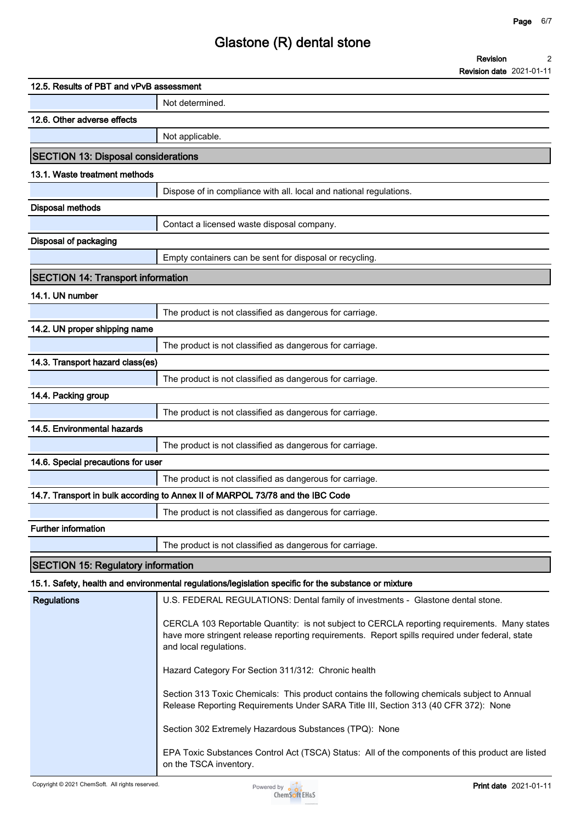**2**

**Revision**

# **Glastone (R) dental stone**

|                                            | <b>Revision date</b> 2021-01-11                                                                                                                                                                                           |
|--------------------------------------------|---------------------------------------------------------------------------------------------------------------------------------------------------------------------------------------------------------------------------|
| 12.5. Results of PBT and vPvB assessment   |                                                                                                                                                                                                                           |
|                                            | Not determined.                                                                                                                                                                                                           |
| 12.6. Other adverse effects                |                                                                                                                                                                                                                           |
|                                            | Not applicable.                                                                                                                                                                                                           |
| <b>SECTION 13: Disposal considerations</b> |                                                                                                                                                                                                                           |
| 13.1. Waste treatment methods              |                                                                                                                                                                                                                           |
|                                            | Dispose of in compliance with all. local and national regulations.                                                                                                                                                        |
| <b>Disposal methods</b>                    |                                                                                                                                                                                                                           |
|                                            | Contact a licensed waste disposal company.                                                                                                                                                                                |
| Disposal of packaging                      |                                                                                                                                                                                                                           |
|                                            | Empty containers can be sent for disposal or recycling.                                                                                                                                                                   |
| <b>SECTION 14: Transport information</b>   |                                                                                                                                                                                                                           |
| 14.1. UN number                            |                                                                                                                                                                                                                           |
|                                            | The product is not classified as dangerous for carriage.                                                                                                                                                                  |
| 14.2. UN proper shipping name              |                                                                                                                                                                                                                           |
|                                            | The product is not classified as dangerous for carriage.                                                                                                                                                                  |
| 14.3. Transport hazard class(es)           |                                                                                                                                                                                                                           |
|                                            | The product is not classified as dangerous for carriage.                                                                                                                                                                  |
| 14.4. Packing group                        |                                                                                                                                                                                                                           |
|                                            | The product is not classified as dangerous for carriage.                                                                                                                                                                  |
| 14.5. Environmental hazards                |                                                                                                                                                                                                                           |
|                                            | The product is not classified as dangerous for carriage.                                                                                                                                                                  |
| 14.6. Special precautions for user         |                                                                                                                                                                                                                           |
|                                            | The product is not classified as dangerous for carriage.                                                                                                                                                                  |
|                                            | 14.7. Transport in bulk according to Annex II of MARPOL 73/78 and the IBC Code                                                                                                                                            |
|                                            | The product is not classified as dangerous for carriage.                                                                                                                                                                  |
| <b>Further information</b>                 |                                                                                                                                                                                                                           |
|                                            | The product is not classified as dangerous for carriage.                                                                                                                                                                  |
| <b>SECTION 15: Regulatory information</b>  |                                                                                                                                                                                                                           |
|                                            | 15.1. Safety, health and environmental regulations/legislation specific for the substance or mixture                                                                                                                      |
| <b>Regulations</b>                         | U.S. FEDERAL REGULATIONS: Dental family of investments - Glastone dental stone.                                                                                                                                           |
|                                            | CERCLA 103 Reportable Quantity: is not subject to CERCLA reporting requirements. Many states<br>have more stringent release reporting requirements. Report spills required under federal, state<br>and local regulations. |
|                                            | Hazard Category For Section 311/312: Chronic health                                                                                                                                                                       |
|                                            | Section 313 Toxic Chemicals: This product contains the following chemicals subject to Annual<br>Release Reporting Requirements Under SARA Title III, Section 313 (40 CFR 372): None                                       |
|                                            | Section 302 Extremely Hazardous Substances (TPQ): None                                                                                                                                                                    |
|                                            |                                                                                                                                                                                                                           |

Copyright © 2021 ChemSoft. All rights reserved.<br>
Powered by **Print date** 2021-01-11<br>
ChemSoft EH&S

**on the TSCA inventory.**

**EPA Toxic Substances Control Act (TSCA) Status: All of the components of this product are listed**